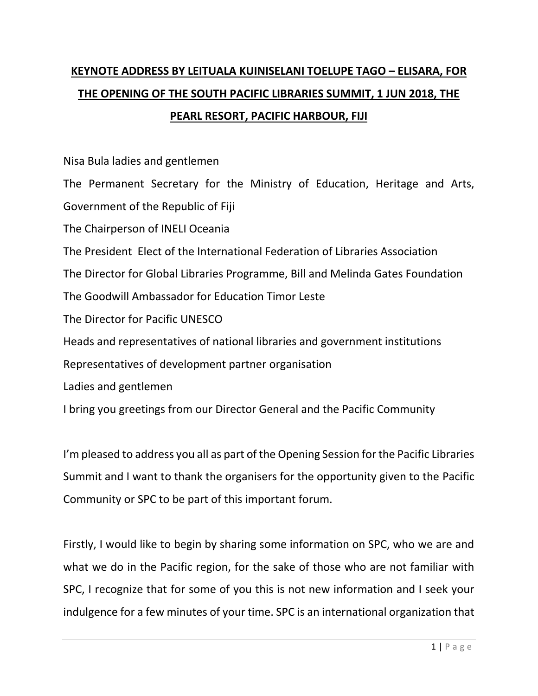## **KEYNOTE ADDRESS BY LEITUALA KUINISELANI TOELUPE TAGO – ELISARA, FOR THE OPENING OF THE SOUTH PACIFIC LIBRARIES SUMMIT, 1 JUN 2018, THE PEARL RESORT, PACIFIC HARBOUR, FIJI**

Nisa Bula ladies and gentlemen

The Permanent Secretary for the Ministry of Education, Heritage and Arts, Government of the Republic of Fiji

The Chairperson of INELI Oceania

The President Elect of the International Federation of Libraries Association

The Director for Global Libraries Programme, Bill and Melinda Gates Foundation

The Goodwill Ambassador for Education Timor Leste

The Director for Pacific UNESCO

Heads and representatives of national libraries and government institutions

Representatives of development partner organisation

Ladies and gentlemen

I bring you greetings from our Director General and the Pacific Community

I'm pleased to address you all as part of the Opening Session for the Pacific Libraries Summit and I want to thank the organisers for the opportunity given to the Pacific Community or SPC to be part of this important forum.

Firstly, I would like to begin by sharing some information on SPC, who we are and what we do in the Pacific region, for the sake of those who are not familiar with SPC, I recognize that for some of you this is not new information and I seek your indulgence for a few minutes of your time. SPC is an international organization that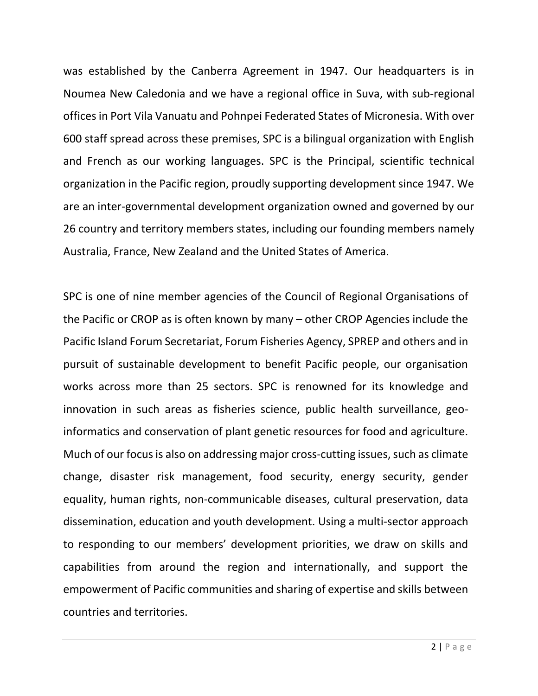was established by the Canberra Agreement in 1947. Our headquarters is in Noumea New Caledonia and we have a regional office in Suva, with sub-regional offices in Port Vila Vanuatu and Pohnpei Federated States of Micronesia. With over 600 staff spread across these premises, SPC is a bilingual organization with English and French as our working languages. SPC is the Principal, scientific technical organization in the Pacific region, proudly supporting development since 1947. We are an inter-governmental development organization owned and governed by our 26 country and territory members states, including our founding members namely Australia, France, New Zealand and the United States of America.

SPC is one of nine member agencies of the Council of Regional Organisations of the Pacific or CROP as is often known by many – other CROP Agencies include the Pacific Island Forum Secretariat, Forum Fisheries Agency, SPREP and others and in pursuit of sustainable development to benefit Pacific people, our organisation works across more than 25 sectors. SPC is renowned for its knowledge and innovation in such areas as fisheries science, public health surveillance, geoinformatics and conservation of plant genetic resources for food and agriculture. Much of our focus is also on addressing major cross-cutting issues, such as climate change, disaster risk management, food security, energy security, gender equality, human rights, non-communicable diseases, cultural preservation, data dissemination, education and youth development. Using a multi-sector approach to responding to our members' development priorities, we draw on skills and capabilities from around the region and internationally, and support the empowerment of Pacific communities and sharing of expertise and skills between countries and territories.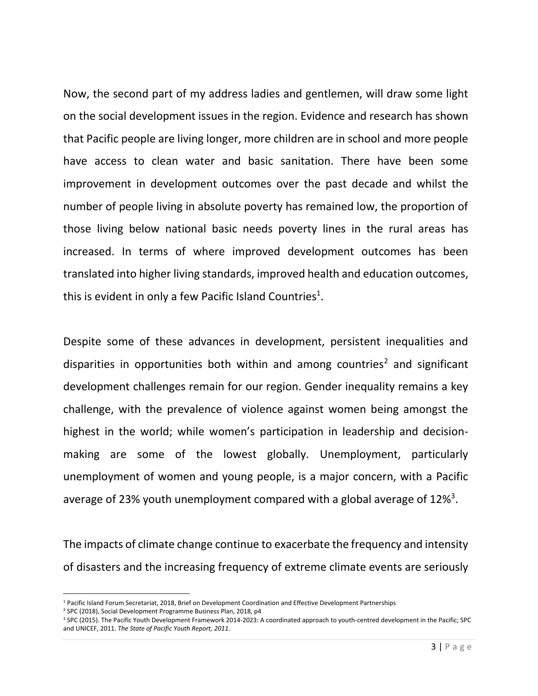Now, the second part of my address ladies and gentlemen, will draw some light on the social development issues in the region. Evidence and research has shown that Pacific people are living longer, more children are in school and more people have access to clean water and basic sanitation. There have been some improvement in development outcomes over the past decade and whilst the number of people living in absolute poverty has remained low, the proportion of those living below national basic needs poverty lines in the rural areas has increased. In terms of where improved development outcomes has been translated into higher living standards, improved health and education outcomes, this is evident in only a few Pacific Island Countries<sup>1</sup>.

Despite some of these advances in development, persistent inequalities and disparities in opportunities both within and among countries<sup>2</sup> and significant development challenges remain for our region. Gender inequality remains a key challenge, with the prevalence of violence against women being amongst the highest in the world; while women's participation in leadership and decisionmaking are some of the lowest globally. Unemployment, particularly unemployment of women and young people, is a major concern, with a Pacific average of 23% youth unemployment compared with a global average of 12%<sup>3</sup>.

The impacts of climate change continue to exacerbate the frequency and intensity of disasters and the increasing frequency of extreme climate events are seriously

l

<sup>1</sup> Pacific Island Forum Secretariat, 2018, Brief on Development Coordination and Effective Development Partnerships

<sup>2</sup> SPC (2018), Social Development Programme Business Plan, 2018, p4

<sup>3</sup> SPC (2015). The Pacific Youth Development Framework 2014-2023: A coordinated approach to youth-centred development in the Pacific; SPC and UNICEF, 2011. *The State of Pacific Youth Report, 2011.*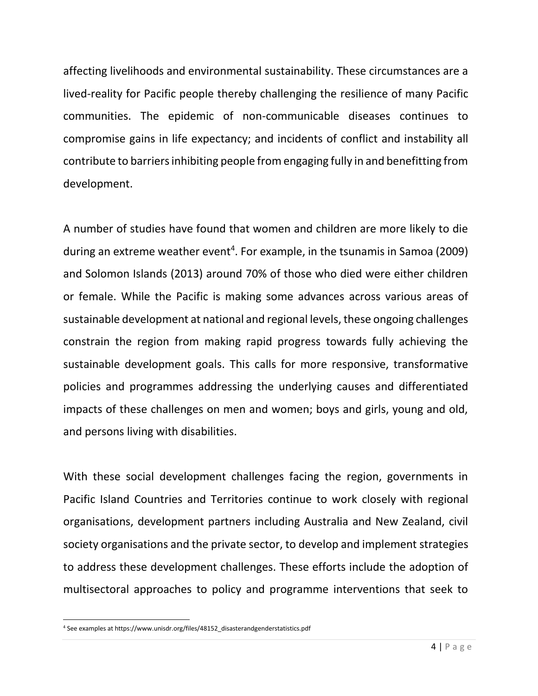affecting livelihoods and environmental sustainability. These circumstances are a lived-reality for Pacific people thereby challenging the resilience of many Pacific communities. The epidemic of non-communicable diseases continues to compromise gains in life expectancy; and incidents of conflict and instability all contribute to barriers inhibiting people from engaging fully in and benefitting from development.

A number of studies have found that women and children are more likely to die during an extreme weather event<sup>4</sup>. For example, in the tsunamis in Samoa (2009) and Solomon Islands (2013) around 70% of those who died were either children or female. While the Pacific is making some advances across various areas of sustainable development at national and regional levels, these ongoing challenges constrain the region from making rapid progress towards fully achieving the sustainable development goals. This calls for more responsive, transformative policies and programmes addressing the underlying causes and differentiated impacts of these challenges on men and women; boys and girls, young and old, and persons living with disabilities.

With these social development challenges facing the region, governments in Pacific Island Countries and Territories continue to work closely with regional organisations, development partners including Australia and New Zealand, civil society organisations and the private sector, to develop and implement strategies to address these development challenges. These efforts include the adoption of multisectoral approaches to policy and programme interventions that seek to

 $\overline{\phantom{a}}$ 

<sup>4</sup> See examples at https://www.unisdr.org/files/48152\_disasterandgenderstatistics.pdf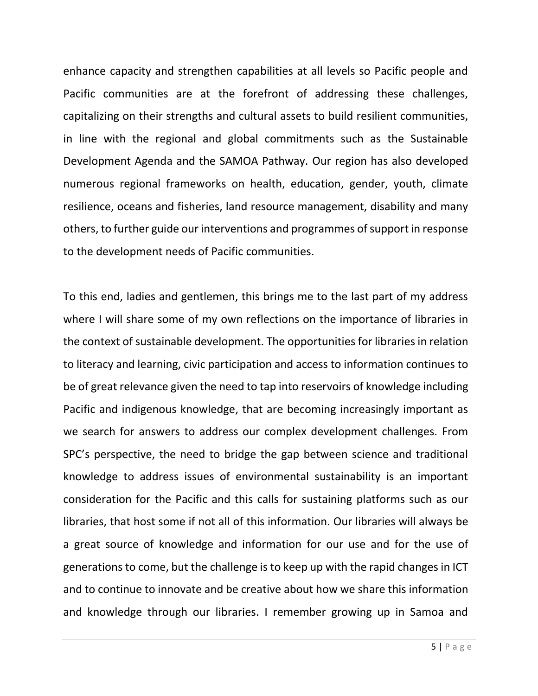enhance capacity and strengthen capabilities at all levels so Pacific people and Pacific communities are at the forefront of addressing these challenges, capitalizing on their strengths and cultural assets to build resilient communities, in line with the regional and global commitments such as the Sustainable Development Agenda and the SAMOA Pathway. Our region has also developed numerous regional frameworks on health, education, gender, youth, climate resilience, oceans and fisheries, land resource management, disability and many others, to further guide our interventions and programmes of support in response to the development needs of Pacific communities.

To this end, ladies and gentlemen, this brings me to the last part of my address where I will share some of my own reflections on the importance of libraries in the context of sustainable development. The opportunities for libraries in relation to literacy and learning, civic participation and access to information continues to be of great relevance given the need to tap into reservoirs of knowledge including Pacific and indigenous knowledge, that are becoming increasingly important as we search for answers to address our complex development challenges. From SPC's perspective, the need to bridge the gap between science and traditional knowledge to address issues of environmental sustainability is an important consideration for the Pacific and this calls for sustaining platforms such as our libraries, that host some if not all of this information. Our libraries will always be a great source of knowledge and information for our use and for the use of generations to come, but the challenge is to keep up with the rapid changes in ICT and to continue to innovate and be creative about how we share this information and knowledge through our libraries. I remember growing up in Samoa and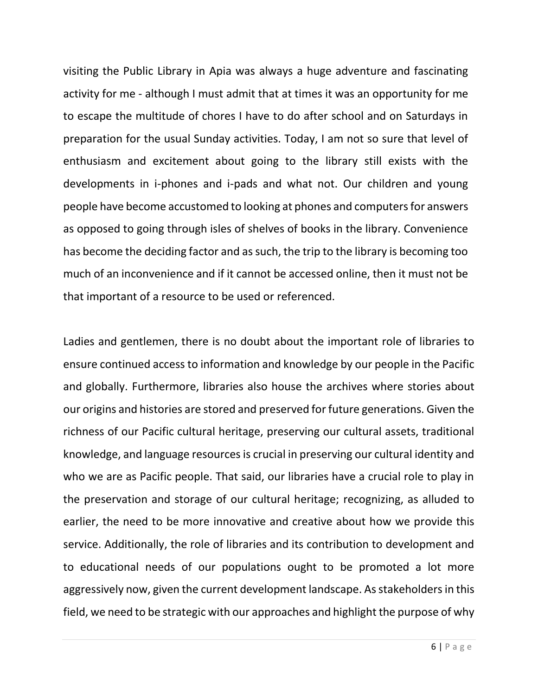visiting the Public Library in Apia was always a huge adventure and fascinating activity for me - although I must admit that at times it was an opportunity for me to escape the multitude of chores I have to do after school and on Saturdays in preparation for the usual Sunday activities. Today, I am not so sure that level of enthusiasm and excitement about going to the library still exists with the developments in i-phones and i-pads and what not. Our children and young people have become accustomed to looking at phones and computers for answers as opposed to going through isles of shelves of books in the library. Convenience has become the deciding factor and as such, the trip to the library is becoming too much of an inconvenience and if it cannot be accessed online, then it must not be that important of a resource to be used or referenced.

Ladies and gentlemen, there is no doubt about the important role of libraries to ensure continued access to information and knowledge by our people in the Pacific and globally. Furthermore, libraries also house the archives where stories about our origins and histories are stored and preserved for future generations. Given the richness of our Pacific cultural heritage, preserving our cultural assets, traditional knowledge, and language resources is crucial in preserving our cultural identity and who we are as Pacific people. That said, our libraries have a crucial role to play in the preservation and storage of our cultural heritage; recognizing, as alluded to earlier, the need to be more innovative and creative about how we provide this service. Additionally, the role of libraries and its contribution to development and to educational needs of our populations ought to be promoted a lot more aggressively now, given the current development landscape. As stakeholders in this field, we need to be strategic with our approaches and highlight the purpose of why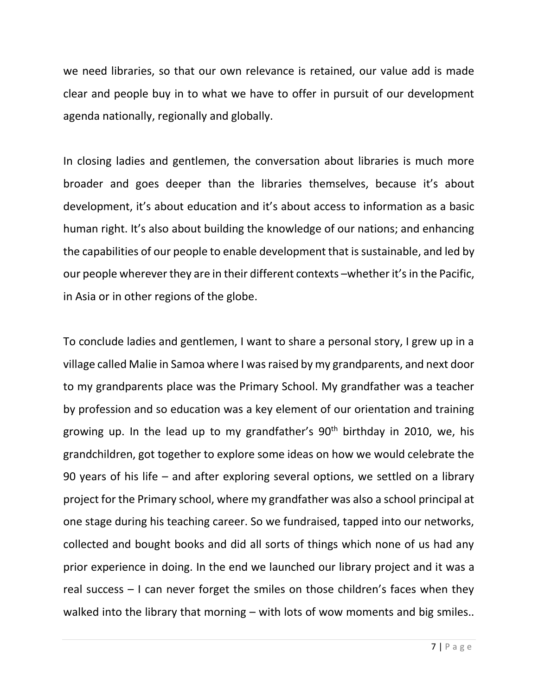we need libraries, so that our own relevance is retained, our value add is made clear and people buy in to what we have to offer in pursuit of our development agenda nationally, regionally and globally.

In closing ladies and gentlemen, the conversation about libraries is much more broader and goes deeper than the libraries themselves, because it's about development, it's about education and it's about access to information as a basic human right. It's also about building the knowledge of our nations; and enhancing the capabilities of our people to enable development that is sustainable, and led by our people wherever they are in their different contexts –whether it's in the Pacific, in Asia or in other regions of the globe.

To conclude ladies and gentlemen, I want to share a personal story, I grew up in a village called Malie in Samoa where I was raised by my grandparents, and next door to my grandparents place was the Primary School. My grandfather was a teacher by profession and so education was a key element of our orientation and training growing up. In the lead up to my grandfather's  $90<sup>th</sup>$  birthday in 2010, we, his grandchildren, got together to explore some ideas on how we would celebrate the 90 years of his life – and after exploring several options, we settled on a library project for the Primary school, where my grandfather was also a school principal at one stage during his teaching career. So we fundraised, tapped into our networks, collected and bought books and did all sorts of things which none of us had any prior experience in doing. In the end we launched our library project and it was a real success – I can never forget the smiles on those children's faces when they walked into the library that morning – with lots of wow moments and big smiles..